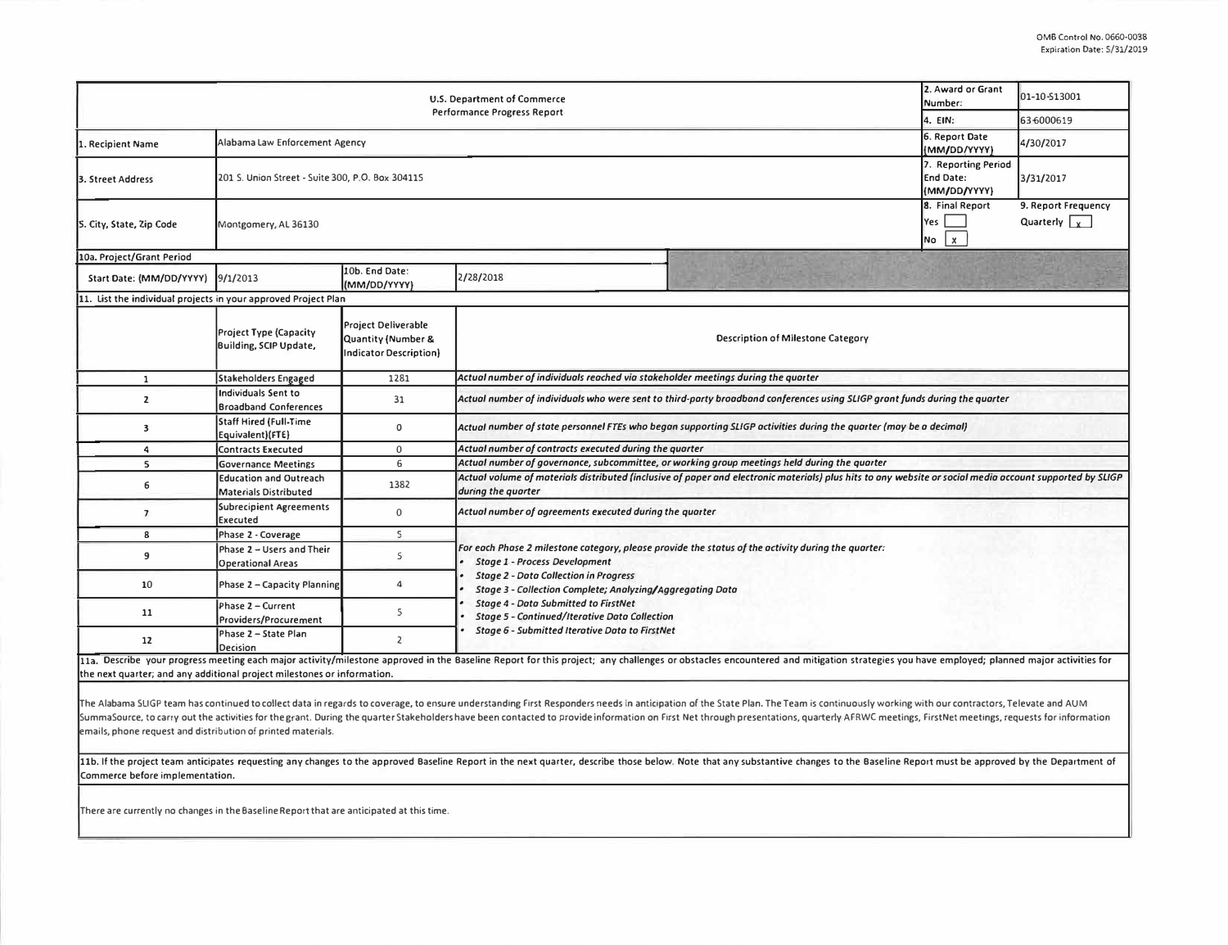| 2. Award or Grant<br><b>U.S. Department of Commerce</b><br>Number:<br><b>Performance Progress Report</b><br>4. EIN: |                                                                                                             |                                                                            |                                                                                                                                                                                |  |                                              | 01-10-\$13001                               |  |  |  |  |
|---------------------------------------------------------------------------------------------------------------------|-------------------------------------------------------------------------------------------------------------|----------------------------------------------------------------------------|--------------------------------------------------------------------------------------------------------------------------------------------------------------------------------|--|----------------------------------------------|---------------------------------------------|--|--|--|--|
|                                                                                                                     |                                                                                                             |                                                                            |                                                                                                                                                                                |  |                                              | 63 6000619                                  |  |  |  |  |
| 1. Recipient Name                                                                                                   | Alabama Law Enforcement Agency                                                                              |                                                                            |                                                                                                                                                                                |  |                                              | 4/30/2017                                   |  |  |  |  |
| 3. Street Address                                                                                                   | 7. Reporting Period<br>201 S. Union Street - Suite 300, P.O. Box 304115<br><b>End Date:</b><br>(MM/DD/YYYY) |                                                                            |                                                                                                                                                                                |  |                                              | 3/31/2017                                   |  |  |  |  |
| S. City, State, Zip Code                                                                                            | Montgomery, AL 36130                                                                                        |                                                                            |                                                                                                                                                                                |  | 8. Final Report<br>Yes<br>$\mathbf{x}$<br>No | 9. Report Frequency<br>Quarterly $\sqrt{y}$ |  |  |  |  |
| 10a. Project/Grant Period                                                                                           |                                                                                                             |                                                                            |                                                                                                                                                                                |  |                                              |                                             |  |  |  |  |
| Start Date: (MM/DD/YYYY)                                                                                            | 9/1/2013                                                                                                    | 10b. End Date:<br>(MM/DD/YYYY)                                             | 2/28/2018                                                                                                                                                                      |  |                                              |                                             |  |  |  |  |
| 11. List the individual projects in your approved Project Plan                                                      |                                                                                                             |                                                                            |                                                                                                                                                                                |  |                                              |                                             |  |  |  |  |
|                                                                                                                     | Project Type (Capacity<br>Building, SCIP Update,                                                            | <b>Project Deliverable</b><br>Quantity (Number &<br>Indicator Description} | Description of Milestone Category                                                                                                                                              |  |                                              |                                             |  |  |  |  |
| $\mathbf{1}$                                                                                                        | Stakeholders Engaged                                                                                        | 1281                                                                       | Actual number of individuals reached via stakeholder meetings during the quarter                                                                                               |  |                                              |                                             |  |  |  |  |
| $\overline{2}$                                                                                                      | Individuals Sent to<br><b>Broadband Conferences</b>                                                         | 31                                                                         | Actual number of individuals who were sent to third-party broadband conferences using SLIGP grant funds during the quarter                                                     |  |                                              |                                             |  |  |  |  |
| $\overline{\mathbf{3}}$                                                                                             | Staff Hired (Full-Time<br>Equivalent)(FTE)                                                                  | $\mathbf 0$                                                                | Actual number of state personnel FTEs who began supporting SLIGP activities during the quarter (may be a decimal)                                                              |  |                                              |                                             |  |  |  |  |
| 4                                                                                                                   | Contracts Executed                                                                                          | $\mathbf{0}$                                                               | Actual number of contracts executed during the quarter                                                                                                                         |  |                                              |                                             |  |  |  |  |
| 5                                                                                                                   | <b>Governance Meetings</b>                                                                                  | 6                                                                          | Actual number of governance, subcommittee, or working group meetings held during the quarter                                                                                   |  |                                              |                                             |  |  |  |  |
| 6                                                                                                                   | <b>Education and Outreach</b><br>Materials Distributed                                                      | 1382                                                                       | Actual volume of materials distributed (inclusive of paper and electronic materials) plus hits to any website or social media account supported by SLIGP<br>during the quarter |  |                                              |                                             |  |  |  |  |
| $\overline{7}$                                                                                                      | Subrecipient Agreements<br><b>Executed</b>                                                                  | $\mathbf{0}$                                                               | Actual number of agreements executed during the quarter                                                                                                                        |  |                                              |                                             |  |  |  |  |
| 8                                                                                                                   | Phase 2 - Coverage                                                                                          | $\mathsf{S}$                                                               |                                                                                                                                                                                |  |                                              |                                             |  |  |  |  |
| 9                                                                                                                   | Phase 2 - Users and Their<br><b>Operational Areas</b>                                                       | S                                                                          | For each Phase 2 milestone category, please provide the status of the activity during the quarter:<br><b>Stage 1 - Process Development</b>                                     |  |                                              |                                             |  |  |  |  |
| 10                                                                                                                  | Phase 2 - Capacity Planning                                                                                 | 4                                                                          | <b>Stage 2 - Data Collection in Progress</b><br>Stage 3 - Collection Complete; Analyzing/Aggregating Data                                                                      |  |                                              |                                             |  |  |  |  |
| 11                                                                                                                  | Phase 2 - Current<br>Providers/Procurement                                                                  | 5                                                                          | <b>Stage 4 - Data Submitted to FirstNet</b><br><b>Stage 5 - Continued/Iterative Data Collection</b><br><b>Stage 6 - Submitted Iterative Data to FirstNet</b>                   |  |                                              |                                             |  |  |  |  |
| 12                                                                                                                  | Phase 2 - State Plan<br>Decision                                                                            | $\overline{2}$                                                             |                                                                                                                                                                                |  |                                              |                                             |  |  |  |  |

11a. Describe your progress meeting each major activity/milestone approved in the Baseline Report for this project; any challenges or obstacles encountered and mitigation strategies you have employed; planned major activit the next quarter; and any additional project milestones or information.

The Alabama SLIGP team has continued to collect data in regards to coverage, to ensure understanding First Responders needs in anticipation of the State Plan. The Team is continuously working with our contractors, Televate SummaSource, to carry out the activities for the grant. During the quarter Stakeholders have been contacted to provide information on First Net through presentations, quarterly AFRWC meetings, FirstNet meetings, requests f emails, phone request and distribution of printed materials.

11b. If the project team anticipates requesting any changes to the approved Baseline Report in the next quarter, describe those below. Note that any substantive changes to the Baseline Report must be approved by the Depart Commerce before implementation.

There are currently no changes in the Baseline Report that are anticipated at this time.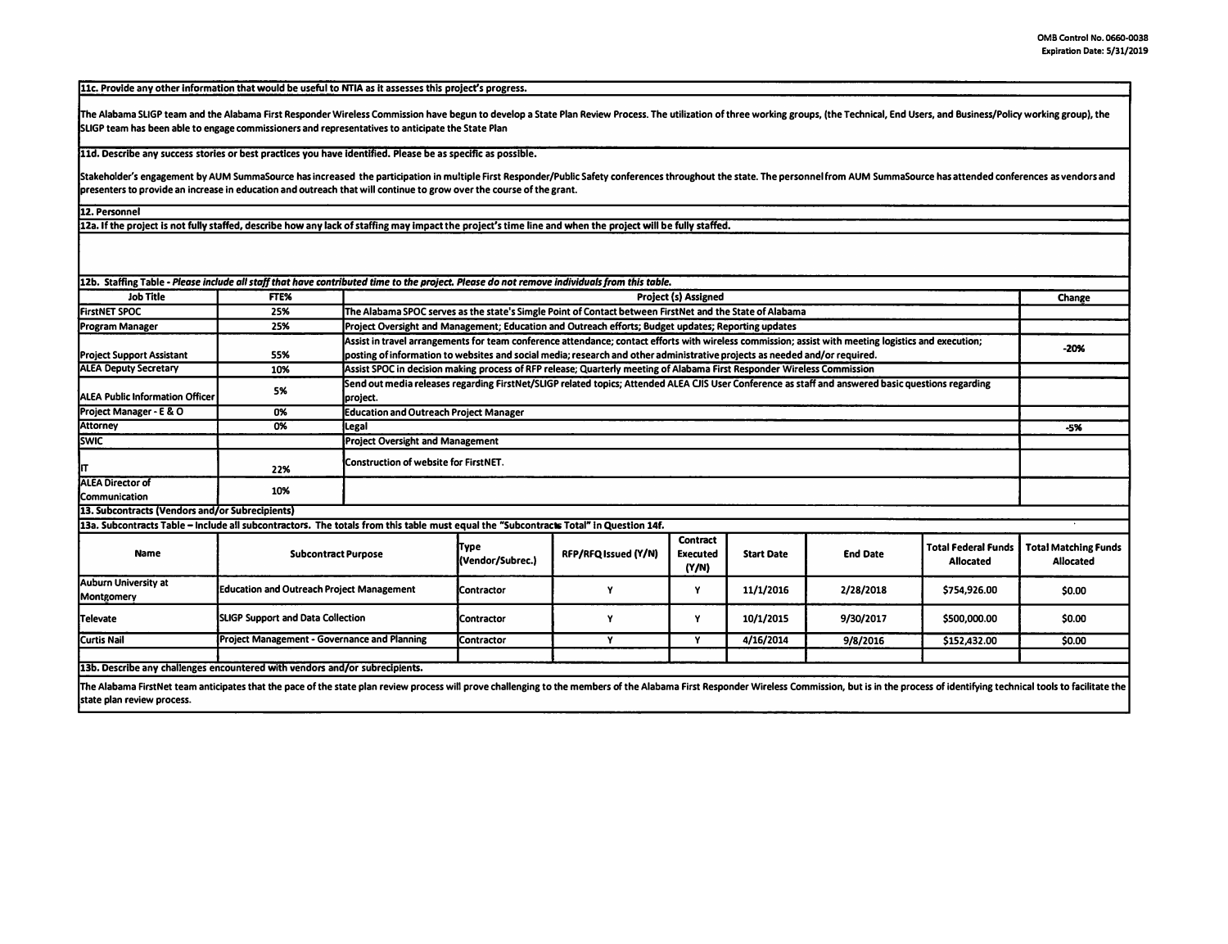**llc. Provide any other information that would be useful to NTIA as it assesses this project's progress.** 

The Alabama SLIGP team and the Alabama First Responder Wireless Commission have begun to develop a State Plan Review Process. The utilization of three working groups, (the Technical, End Users, and Business/Policy working **SLIGP team has been able to engage commissioners and representatives to anticipate the State Plan** 

**lld. Describe any success stories or best practices you have identified. Please be as specific as possible.** 

Stakeholder's engagement by AUM SummaSource has increased the participation in multiple First Responder/Public Safety conferences throughout the state. The personnel from AUM SummaSource has attended conferences as vendors **presenters to provide an increase in education and outreach that will continue to grow over the course of the grant.** 

**12. Personnel** 

**lZa. If the project is not fully staffed, describe how any lack of staffing may impact the project's time line and when the project will be fully staffed.** 

| 12b. Staffing Table - Please include all staff that have contributed time to the project. Please do not remove individuals from this table. |                                                  |                                                                                                                                                                                                                                                                                    |                                                                                                          |                      |                                             |                   |                 |                                                |                                          |
|---------------------------------------------------------------------------------------------------------------------------------------------|--------------------------------------------------|------------------------------------------------------------------------------------------------------------------------------------------------------------------------------------------------------------------------------------------------------------------------------------|----------------------------------------------------------------------------------------------------------|----------------------|---------------------------------------------|-------------------|-----------------|------------------------------------------------|------------------------------------------|
| <b>Job Title</b>                                                                                                                            | FTE%                                             |                                                                                                                                                                                                                                                                                    | <b>Project (s) Assigned</b>                                                                              |                      |                                             |                   |                 |                                                |                                          |
| <b>FirstNET SPOC</b>                                                                                                                        | 25%                                              |                                                                                                                                                                                                                                                                                    | The Alabama SPOC serves as the state's Simgle Point of Contact between FirstNet and the State of Alabama |                      |                                             |                   |                 |                                                |                                          |
| <b>Program Manager</b>                                                                                                                      | 25%                                              |                                                                                                                                                                                                                                                                                    | Project Oversight and Management; Education and Outreach efforts; Budget updates; Reporting updates      |                      |                                             |                   |                 |                                                |                                          |
| <b>Project Support Assistant</b>                                                                                                            | 55%                                              | Assist in travel arrangements for team conference attendance: contact efforts with wireless commission; assist with meeting logistics and execution;<br>posting of information to websites and social media; research and other administrative projects as needed and/or required. |                                                                                                          |                      |                                             |                   |                 | $-20%$                                         |                                          |
| <b>ALEA Deputy Secretary</b>                                                                                                                | 10%                                              | Assist SPOC in decision making process of RFP release; Quarterly meeting of Alabama First Responder Wireless Commission                                                                                                                                                            |                                                                                                          |                      |                                             |                   |                 |                                                |                                          |
| <b>ALEA Public Information Officer</b>                                                                                                      | 5%                                               | Send out media releases regarding FirstNet/SLIGP related topics; Attended ALEA CJIS User Conference as staff and answered basic questions regarding<br>project.                                                                                                                    |                                                                                                          |                      |                                             |                   |                 |                                                |                                          |
| Project Manager - E & O                                                                                                                     | 0%                                               |                                                                                                                                                                                                                                                                                    | <b>Education and Outreach Project Manager</b>                                                            |                      |                                             |                   |                 |                                                |                                          |
| <b>Attorney</b>                                                                                                                             | 0%                                               | Legal                                                                                                                                                                                                                                                                              |                                                                                                          |                      |                                             |                   |                 |                                                |                                          |
| <b>SWIC</b>                                                                                                                                 |                                                  |                                                                                                                                                                                                                                                                                    | <b>Project Oversight and Management</b>                                                                  |                      |                                             |                   |                 |                                                |                                          |
| IП                                                                                                                                          | 22%                                              | Construction of website for FirstNET.                                                                                                                                                                                                                                              |                                                                                                          |                      |                                             |                   |                 |                                                |                                          |
| <b>ALEA Director of</b><br>Communication                                                                                                    | 10%                                              |                                                                                                                                                                                                                                                                                    |                                                                                                          |                      |                                             |                   |                 |                                                |                                          |
| 13. Subcontracts (Vendors and/or Subrecipients)                                                                                             |                                                  |                                                                                                                                                                                                                                                                                    |                                                                                                          |                      |                                             |                   |                 |                                                |                                          |
| 13a. Subcontracts Table – Include all subcontractors. The totals from this table must equal the "Subcontracts Total" in Question 14f.       |                                                  |                                                                                                                                                                                                                                                                                    |                                                                                                          |                      |                                             |                   |                 |                                                |                                          |
| <b>Name</b>                                                                                                                                 | <b>Subcontract Purpose</b>                       |                                                                                                                                                                                                                                                                                    | <b>Type</b><br>(Vendor/Subrec.)                                                                          | RFP/RFQ Issued (Y/N) | <b>Contract</b><br><b>Executed</b><br>(Y/N) | <b>Start Date</b> | <b>End Date</b> | <b>Total Federal Funds</b><br><b>Allocated</b> | <b>Total Matching Funds</b><br>Allocated |
| <b>Auburn University at</b><br>Montgomery                                                                                                   | <b>Education and Outreach Project Management</b> |                                                                                                                                                                                                                                                                                    | <b>IContractor</b>                                                                                       |                      | Y                                           | 11/1/2016         | 2/28/2018       | \$754,926,00                                   | \$0.00                                   |
| Televate                                                                                                                                    | <b>SLIGP Support and Data Collection</b>         |                                                                                                                                                                                                                                                                                    | <b>Contractor</b>                                                                                        |                      | Y                                           | 10/1/2015         | 9/30/2017       | \$500,000.00                                   | \$0.00                                   |
| <b>Curtis Nail</b>                                                                                                                          | Project Management - Governance and Planning     |                                                                                                                                                                                                                                                                                    | <b>Contractor</b>                                                                                        | Y                    | Y                                           | 4/16/2014         | 9/8/2016        | \$152,432.00                                   | \$0.00                                   |
|                                                                                                                                             |                                                  |                                                                                                                                                                                                                                                                                    |                                                                                                          |                      |                                             |                   |                 |                                                |                                          |
| 13b. Describe any challenges encountered with vendors and/or subrecipients.                                                                 |                                                  |                                                                                                                                                                                                                                                                                    |                                                                                                          |                      |                                             |                   |                 |                                                |                                          |
|                                                                                                                                             |                                                  |                                                                                                                                                                                                                                                                                    |                                                                                                          |                      |                                             |                   |                 |                                                |                                          |

The Alabama FirstNet team anticipates that the pace of the state plan review process will prove challenging to the members of the Alabama First Responder Wireless Commission, but is in the process of identifying technical **state plan review process.**